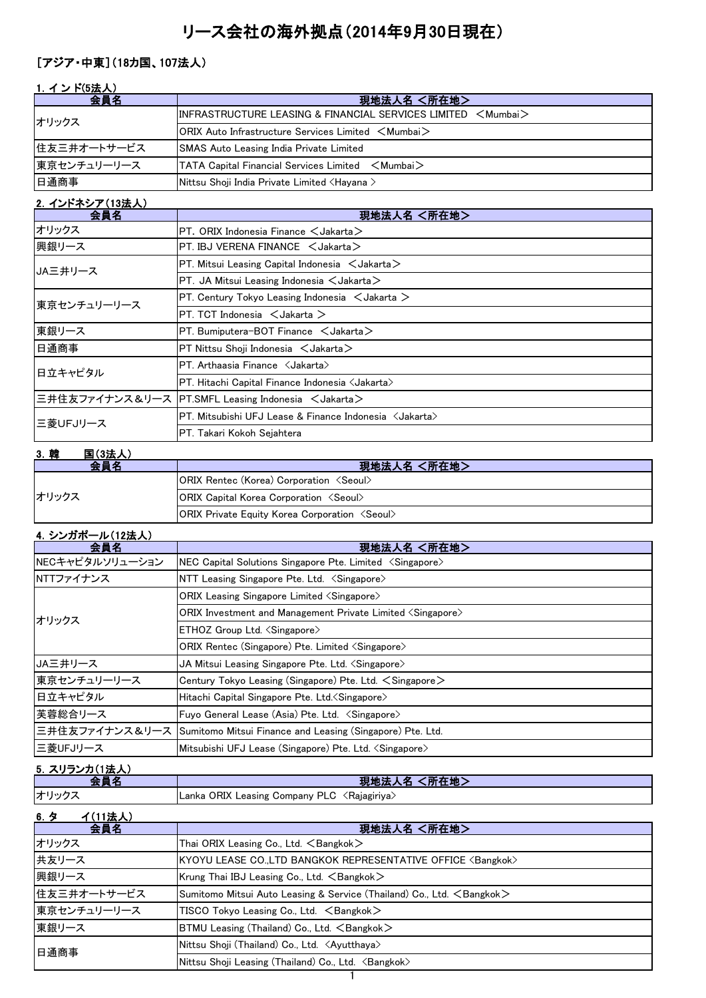# リース会社の海外拠点(2014年9月30日現在)

#### [アジア・中東](18カ国、107法人)

### 1. インド(5法人)

| 会員名         | 現地法人名 <所在地>                                                                                          |
|-------------|------------------------------------------------------------------------------------------------------|
| オリックス       | $\textsf{IINFRASTRUCTURE LEASING & FINANCIAL SERVICES LIMITED < Mumba}$                              |
|             | $\mathsf{ORIX}$ Auto Infrastructure Services Limited $\mathord{\leq} \mathsf{Mumbai} \mathord{\geq}$ |
| 住友三井オートサービス | <b>SMAS Auto Leasing India Private Limited</b>                                                       |
| 東京センチュリーリース | <b>ITATA Capital Financial Services Limited &lt; Mumbai</b>                                          |
| 日通商事        | Nittsu Shoji India Private Limited <hayana></hayana>                                                 |

## 2.インドネシア(13法人)

| 会員名                   | 現地法人名 <所在地>                                                       |
|-----------------------|-------------------------------------------------------------------|
| オリックス                 | PT. ORIX Indonesia Finance $<$ Jakarta $>$                        |
| 興銀リース                 | PT. IBJ VERENA FINANCE < Jakarta>                                 |
| JA三井リース               | PT. Mitsui Leasing Capital Indonesia $\leq$ Jakarta $\geq$        |
|                       | PT. JA Mitsui Leasing Indonesia $\lt$ Jakarta $\gt$               |
| 東京センチュリーリース           | PT. Century Tokyo Leasing Indonesia $\leq$ Jakarta $\geq$         |
|                       | PT. TCT Indonesia $\leq$ Jakarta $>$                              |
| 東銀リース                 | PT. Bumiputera-BOT Finance $\leq$ Jakarta $>$                     |
| 日通商事                  | PT Nittsu Shoji Indonesia < Jakarta>                              |
| 日立キャピタル               | PT. Arthaasia Finance < Jakarta>                                  |
|                       | PT. Hitachi Capital Finance Indonesia $\langle$ Jakarta $\rangle$ |
|                       | 三井住友ファイナンス&リース PT.SMFL Leasing Indonesia <jakarta></jakarta>      |
| 三菱UFJリース              | PT. Mitsubishi UFJ Lease & Finance Indonesia 〈Jakarta〉            |
|                       | PT. Takari Kokoh Sejahtera                                        |
| ○ 本社<br>$F = (a + 1)$ |                                                                   |

| 3. 韓<br>国(3法人 |                                                              |
|---------------|--------------------------------------------------------------|
| 会員名           | 現地法人名 <所在地>                                                  |
|               | <b>ORIX Rentec (Korea) Corporation <seoul></seoul></b>       |
| オリックス         | <b>ORIX Capital Korea Corporation <seoul></seoul></b>        |
|               | <b>ORIX Private Equity Korea Corporation <seoul></seoul></b> |

### 4.シンガポール(12法人)

| 会員名             | <所在地><br>現地法人名                                                           |
|-----------------|--------------------------------------------------------------------------|
| NECキャピタルソリューション | NEC Capital Solutions Singapore Pte. Limited <singapore></singapore>     |
| NTTファイナンス       | NTT Leasing Singapore Pte. Ltd. <singapore></singapore>                  |
|                 | ORIX Leasing Singapore Limited <singapore></singapore>                   |
| オリックス           | ORIX Investment and Management Private Limited <singapore></singapore>   |
|                 | ETHOZ Group Ltd. <singapore></singapore>                                 |
|                 | ORIX Rentec (Singapore) Pte. Limited <singapore></singapore>             |
| JA三井リース         | JA Mitsui Leasing Singapore Pte. Ltd. <singapore></singapore>            |
| 東京センチュリーリース     | Century Tokyo Leasing (Singapore) Pte. Ltd. $\leq$ Singapore $\geq$      |
| 日立キャピタル         | Hitachi Capital Singapore Pte. Ltd. < Singapore>                         |
| 芙蓉総合リース         | Fuyo General Lease (Asia) Pte. Ltd. <singapore></singapore>              |
|                 | 三井住友ファイナンス&リース Sumitomo Mitsui Finance and Leasing (Singapore) Pte. Ltd. |
| 三菱UFJリース        | Mitsubishi UFJ Lease (Singapore) Pte. Ltd. <singapore></singapore>       |

## 5.スリランカ(1法人)

|       | <b>「所在地」</b><br>現地法<br>$\lambda$ 24                  |
|-------|------------------------------------------------------|
| オリックス | ORIX Leasing Company PLC د<br>≺Rajagiriya ∕<br>Lanka |

#### 6.タ イ(11法人) **会員名 スポーツ マンファン マンファン アメリカ 現地法人名 <所在地>** オリックス インファイン Thai ORIX Leasing Co., Ltd. <Bangkok> 共友リース インコントン KYOYU LEASE CO.,LTD BANGKOK REPRESENTATIVE OFFICE <Bangkok> 興銀リース Krung Thai IBJ Leasing Co., Ltd. <Bangkok> 住友三井オートサービス Sumitomo Mitsui Auto Leasing & Service (Thailand) Co., Ltd. <Bangkok> 東京センチュリーリース TISCO Tokyo Leasing Co., Ltd. <Bangkok> 東銀リース BTMU Leasing (Thailand) Co., Ltd. <Bangkok> Nittsu Shoji (Thailand) Co., Ltd. <Ayutthaya> Nittsu Shoji Leasing (Thailand) Co., Ltd. <Bangkok> 日通商事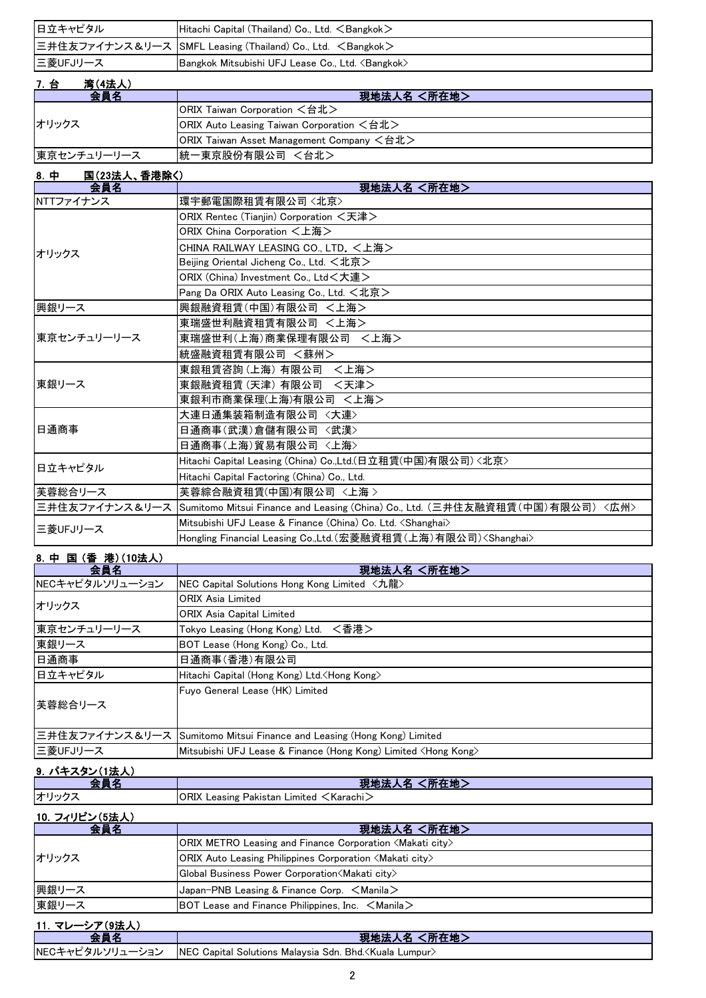| ※恋 /⊿ 辻 l \<br>7 스 |                                                                      |
|--------------------|----------------------------------------------------------------------|
| 三菱UFJリース           | Bangkok Mitsubishi UFJ Lease Co., Ltd. <bangkok></bangkok>           |
|                    | 三井住友ファイナンス&リース SMFL Leasing (Thailand) Co., Ltd. <bangkok></bangkok> |
| 日立キャピタル            | Hitachi Capital (Thailand) Co., Ltd. $\leq$ Bangkok $>$              |
|                    |                                                                      |

| .<br>1517777 |                                                                                  |
|--------------|----------------------------------------------------------------------------------|
| 会昌名          | 現地法人名 <所在地>                                                                      |
| オリックス        | ORIX Taiwan Corporation <台北>                                                     |
|              | <b>ORIX Auto Leasing Taiwan Corporation <math>\leq</math>台北<math>&gt;</math></b> |
|              | $ ORIX$ Taiwan Asset Management Company $\leq \nexists \nexists$                 |
| 東京センチュリーリース  | 統一東京股份有限公司 <台北>                                                                  |

#### 8.中 国(23法人、香港除く)

| 会員名            | 現地法人名 <所在地>                                                                   |
|----------------|-------------------------------------------------------------------------------|
| NTTファイナンス      | 環宇郵電国際租賃有限公司〈北京〉                                                              |
|                | ORIX Rentec (Tianjin) Corporation <天津>                                        |
|                | ORIX China Corporation <上海>                                                   |
| オリックス          | CHINA RAILWAY LEASING CO., LTD. <上海>                                          |
|                | Beijing Oriental Jicheng Co., Ltd. <北京>                                       |
|                | ORIX (China) Investment Co., Ltd<大連>                                          |
|                | Pang Da ORIX Auto Leasing Co., Ltd. <北京>                                      |
| 興銀リース          | 興銀融資租賃(中国)有限公司 <上海>                                                           |
|                | 東瑞盛世利融資租賃有限公司 <上海>                                                            |
| 東京センチュリーリース    | 東瑞盛世利(上海)商業保理有限公司<br><上海>                                                     |
|                | 統盛融資租賃有限公司 <蘇州>                                                               |
|                | 東銀租賃咨詢 (上海) 有限公司 〈上海>                                                         |
| 東銀リース          | 東銀融資租賃 (天津) 有限公司<br><天津>                                                      |
|                | 東銀利市商業保理(上海)有限公司 <上海>                                                         |
|                | 大連日通集装箱制造有限公司〈大連〉                                                             |
| 日通商事           | 日通商事(武漢)倉儲有限公司<br>〈武漢〉                                                        |
|                | 日通商事(上海)貿易有限公司 〈上海〉                                                           |
| 日立キャピタル        | Hitachi Capital Leasing (China) Co.,Ltd.(日立租賃(中国)有限公司)<北京>                    |
|                | Hitachi Capital Factoring (China) Co., Ltd.                                   |
| 芙蓉総合リース        | 芙蓉綜合融資租賃(中国)有限公司 〈上海 >                                                        |
| 三井住友ファイナンス&リース | Sumitomo Mitsui Finance and Leasing (China) Co., Ltd. (三井住友融資租賃(中国)有限公司) <広州> |
| 三菱UFJリース       | Mitsubishi UFJ Lease & Finance (China) Co. Ltd. <shanghai></shanghai>         |
|                | Hongling Financial Leasing Co.,Ltd.(宏菱融資租賃(上海)有限公司) <shanghai></shanghai>     |

#### 8.中 国 (香 港)(10法人) 全員名 マンファン マンファン アンディスク 現地法人名 く所在地 > NECキャピタルソリューション NEC Capital Solutions Hong Kong Limited <九龍> ORIX Asia Limited ORIX Asia Capital Limited 東京センチュリーリース Tokyo Leasing (Hong Kong) Ltd. <香港> 東銀リース BOT Lease (Hong Kong) Co., Ltd. 日通商事(香港)有限公司 日立キャピタル Hitachi Capital (Hong Kong) Ltd.<Hong Kong> Fuyo General Lease (HK) Limited 三井住友ファイナンス&リース Sumitomo Mitsui Finance and Leasing (Hong Kong) Limited 三菱UFJリース Mitsubishi UFJ Lease & Finance (Hong Kong) Limited <Hong Kong> 芙蓉総合リース オリックス

## 9.パキスタン(1法人)

| 会員名            | 現地法人名 <所在地>                                                                |  |
|----------------|----------------------------------------------------------------------------|--|
| オリックス          | $ORIX$ Leasing Pakistan Limited $\leq$ Karachi $\geq$                      |  |
| 10. フィリピン(5法人) |                                                                            |  |
| 会員名            | 現地法人名 <所在地>                                                                |  |
| オリックス          | ORIX METRO Leasing and Finance Corporation $\langle$ Makati city $\rangle$ |  |
|                | <b>ORIX Auto Leasing Philippines Corporation <makati city=""></makati></b> |  |
|                | Global Business Power Corporation (Makati city)                            |  |
| 興銀リース          | Japan-PNB Leasing & Finance Corp. $\leq$ Manila $\geq$                     |  |
| 東銀リース          | BOT Lease and Finance Philippines, Inc. $\leq$ Manila $\geq$               |  |

| 11. マレーシア(9法人) |                                                                                    |
|----------------|------------------------------------------------------------------------------------|
|                | 現地法人名 <所在地>                                                                        |
|                | NECキャピタルソリューション NEC Capital Solutions Malaysia Sdn. Bhd. <kuala lumpur=""></kuala> |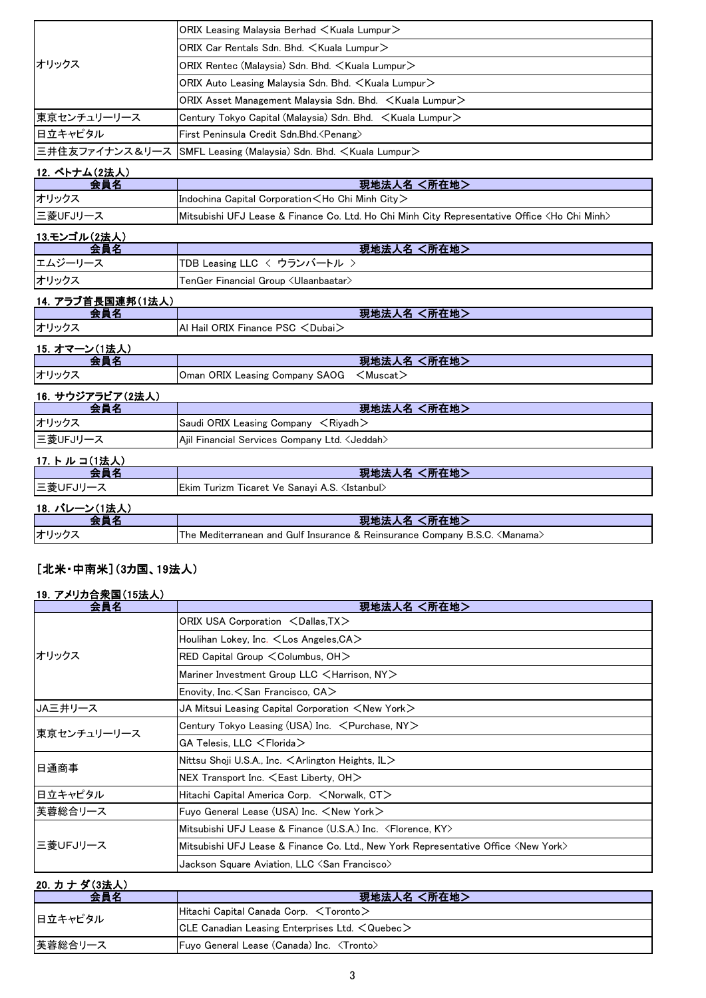|                      | ORIX Leasing Malaysia Berhad <kuala lumpur=""></kuala>                                                  |
|----------------------|---------------------------------------------------------------------------------------------------------|
|                      | ORIX Car Rentals Sdn. Bhd. < Kuala Lumpur>                                                              |
| オリックス                | ORIX Rentec (Malaysia) Sdn. Bhd. < Kuala Lumpur>                                                        |
|                      | ORIX Auto Leasing Malaysia Sdn. Bhd. <kuala lumpur=""></kuala>                                          |
|                      | ORIX Asset Management Malaysia Sdn. Bhd. < Kuala Lumpur>                                                |
| 東京センチュリーリース          | Century Tokyo Capital (Malaysia) Sdn. Bhd. < Kuala Lumpur>                                              |
| 日立キャピタル              | First Peninsula Credit Sdn.Bhd. < Penang>                                                               |
| 三井住友ファイナンス&リース       | SMFL Leasing (Malaysia) Sdn. Bhd. <kuala lumpur=""></kuala>                                             |
| 12. ベトナム(2法人)        |                                                                                                         |
| 会員名                  | 現地法人名 <所在地>                                                                                             |
| オリックス                | Indochina Capital Corporation <ho chi="" city="" minh=""></ho>                                          |
| 三菱UFJリース             | Mitsubishi UFJ Lease & Finance Co. Ltd. Ho Chi Minh City Representative Office <ho chi="" minh=""></ho> |
| <u>13.モンゴル(2法人)</u>  |                                                                                                         |
| 会員名                  | 現地法人名 <所在地>                                                                                             |
| エムジーリース              | TDB Leasing LLC く ウランバートル >                                                                             |
| オリックス                | TenGer Financial Group <ulaanbaatar></ulaanbaatar>                                                      |
| 14. アラブ首長国連邦(1法人)    |                                                                                                         |
| 会員名                  | 現地法人名 <所在地>                                                                                             |
| オリックス                | Al Hail ORIX Finance PSC <dubai></dubai>                                                                |
| <u>15. オマーン(1法人)</u> |                                                                                                         |
| 会員名                  | 現地法人名 <所在地>                                                                                             |
| オリックス                | $<$ Muscat $>$<br>Oman ORIX Leasing Company SAOG                                                        |
| 16. サウジアラビア(2法人)     |                                                                                                         |
| 会員名                  | 現地法人名 <所在地>                                                                                             |
| オリックス                | Saudi ORIX Leasing Company $\leq$ Riyadh $>$                                                            |
| 三菱UFJリース             | Ajil Financial Services Company Ltd. <jeddah></jeddah>                                                  |
| 17. トルコ(1法人)         |                                                                                                         |
| 会員名                  | 現地法人名 <所在地>                                                                                             |
| 三菱UFJリース             | Ekim Turizm Ticaret Ve Sanayi A.S. <istanbul></istanbul>                                                |
| 18. バレーン(1法人)        |                                                                                                         |
| 会員名                  | 現地法人名 <所在地>                                                                                             |
| オリックス                | The Mediterranean and Gulf Insurance & Reinsurance Company B.S.C. <manama></manama>                     |

## [北米・中南米](3カ国、19法人)

#### 19.アメリカ合衆国(15法人)

| 会員名            | 現地法人名 <所在地>                                                                                 |
|----------------|---------------------------------------------------------------------------------------------|
|                | ORIX USA Corporation <dallas, tx=""></dallas,>                                              |
|                | Houlihan Lokey, Inc. <los angeles,="" ca=""></los>                                          |
| オリックス          | RED Capital Group $\leq$ Columbus, OH $>$                                                   |
|                | Mariner Investment Group LLC <harrison, ny=""></harrison,>                                  |
|                | Enovity, Inc. $<$ San Francisco, CA $>$                                                     |
| <b>JA三井リース</b> | JA Mitsui Leasing Capital Corporation $<$ New York $>$                                      |
| 東京センチュリーリース    | Century Tokyo Leasing (USA) Inc. $\leq$ Purchase, NY $>$                                    |
|                | $\mathsf{GA}$ Telesis, LLC $<$ Florida $>$                                                  |
| 日通商事           | Nittsu Shoji U.S.A., Inc. $\leq$ Arlington Heights, IL $>$                                  |
|                | $NEX$ Transport Inc. $\leq$ East Liberty, OH $>$                                            |
| 日立キャピタル        | Hitachi Capital America Corp. <norwalk, ct=""></norwalk,>                                   |
| 芙蓉総合リース        | Fuyo General Lease (USA) Inc. <new york=""></new>                                           |
| 三菱UFJリース       | Mitsubishi UFJ Lease & Finance (U.S.A.) Inc. <florence, ky=""></florence,>                  |
|                | Mitsubishi UFJ Lease & Finance Co. Ltd., New York Representative Office <new york=""></new> |
|                | Jackson Square Aviation, LLC $\triangleleft$ San Francisco $\triangleright$                 |

#### 20. カナダ(3法人)

| 会員名     | 現地法人名 <所在地>                                                |  |
|---------|------------------------------------------------------------|--|
| 日立キャピタル | $ $ Hitachi Capital Canada Corp. $\leq$ Toronto $>$        |  |
|         | CLE Canadian Leasing Enterprises Ltd. $\leq$ Quebec $\geq$ |  |
| 芙蓉総合リース | <b>Fuyo General Lease (Canada) Inc. <tronto></tronto></b>  |  |